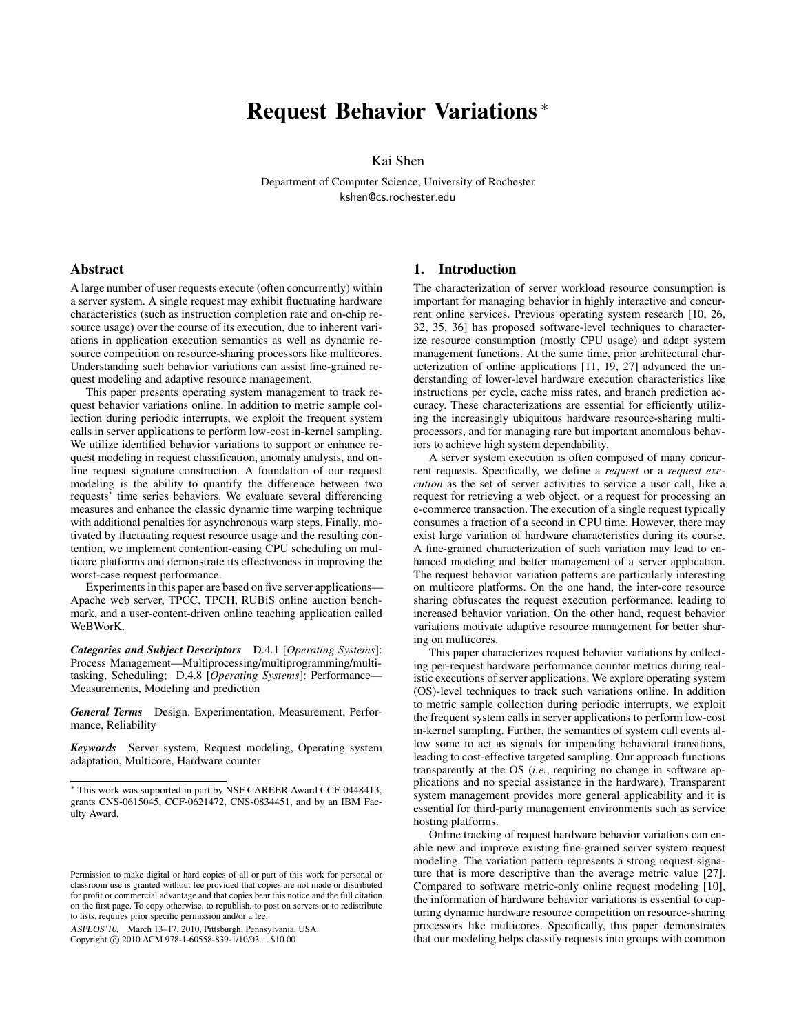# **Request Behavior Variations** <sup>∗</sup>

Kai Shen

Department of Computer Science, University of Rochester kshen@cs.rochester.edu

# **Abstract**

A large number of user requests execute (often concurrently) within a server system. A single request may exhibit fluctuating hardware characteristics (such as instruction completion rate and on-chip resource usage) over the course of its execution, due to inherent variations in application execution semantics as well as dynamic resource competition on resource-sharing processors like multicores. Understanding such behavior variations can assist fine-grained request modeling and adaptive resource management.

This paper presents operating system management to track request behavior variations online. In addition to metric sample collection during periodic interrupts, we exploit the frequent system calls in server applications to perform low-cost in-kernel sampling. We utilize identified behavior variations to support or enhance request modeling in request classification, anomaly analysis, and online request signature construction. A foundation of our request modeling is the ability to quantify the difference between two requests' time series behaviors. We evaluate several differencing measures and enhance the classic dynamic time warping technique with additional penalties for asynchronous warp steps. Finally, motivated by fluctuating request resource usage and the resulting contention, we implement contention-easing CPU scheduling on multicore platforms and demonstrate its effectiveness in improving the worst-case request performance.

Experiments in this paper are based on five server applications— Apache web server, TPCC, TPCH, RUBiS online auction benchmark, and a user-content-driven online teaching application called WeBWorK.

*Categories and Subject Descriptors* D.4.1 [*Operating Systems*]: Process Management—Multiprocessing/multiprogramming/multitasking, Scheduling; D.4.8 [*Operating Systems*]: Performance— Measurements, Modeling and prediction

*General Terms* Design, Experimentation, Measurement, Performance, Reliability

*Keywords* Server system, Request modeling, Operating system adaptation, Multicore, Hardware counter

ASPLOS'10, March 13–17, 2010, Pittsburgh, Pennsylvania, USA. Copyright © 2010 ACM 978-1-60558-839-1/10/03... \$10.00

# **1. Introduction**

The characterization of server workload resource consumption is important for managing behavior in highly interactive and concurrent online services. Previous operating system research [10, 26, 32, 35, 36] has proposed software-level techniques to characterize resource consumption (mostly CPU usage) and adapt system management functions. At the same time, prior architectural characterization of online applications [11, 19, 27] advanced the understanding of lower-level hardware execution characteristics like instructions per cycle, cache miss rates, and branch prediction accuracy. These characterizations are essential for efficiently utilizing the increasingly ubiquitous hardware resource-sharing multiprocessors, and for managing rare but important anomalous behaviors to achieve high system dependability.

A server system execution is often composed of many concurrent requests. Specifically, we define a *request* or a *request execution* as the set of server activities to service a user call, like a request for retrieving a web object, or a request for processing an e-commerce transaction. The execution of a single request typically consumes a fraction of a second in CPU time. However, there may exist large variation of hardware characteristics during its course. A fine-grained characterization of such variation may lead to enhanced modeling and better management of a server application. The request behavior variation patterns are particularly interesting on multicore platforms. On the one hand, the inter-core resource sharing obfuscates the request execution performance, leading to increased behavior variation. On the other hand, request behavior variations motivate adaptive resource management for better sharing on multicores.

This paper characterizes request behavior variations by collecting per-request hardware performance counter metrics during realistic executions of server applications. We explore operating system (OS)-level techniques to track such variations online. In addition to metric sample collection during periodic interrupts, we exploit the frequent system calls in server applications to perform low-cost in-kernel sampling. Further, the semantics of system call events allow some to act as signals for impending behavioral transitions, leading to cost-effective targeted sampling. Our approach functions transparently at the OS (*i.e.*, requiring no change in software applications and no special assistance in the hardware). Transparent system management provides more general applicability and it is essential for third-party management environments such as service hosting platforms.

Online tracking of request hardware behavior variations can enable new and improve existing fine-grained server system request modeling. The variation pattern represents a strong request signature that is more descriptive than the average metric value [27]. Compared to software metric-only online request modeling [10], the information of hardware behavior variations is essential to capturing dynamic hardware resource competition on resource-sharing processors like multicores. Specifically, this paper demonstrates that our modeling helps classify requests into groups with common

<sup>∗</sup> This work was supported in part by NSF CAREER Award CCF-0448413, grants CNS-0615045, CCF-0621472, CNS-0834451, and by an IBM Faculty Award.

Permission to make digital or hard copies of all or part of this work for personal or classroom use is granted without fee provided that copies are not made or distributed for profit or commercial advantage and that copies bear this notice and the full citation on the first page. To copy otherwise, to republish, to post on servers or to redistribute to lists, requires prior specific permission and/or a fee.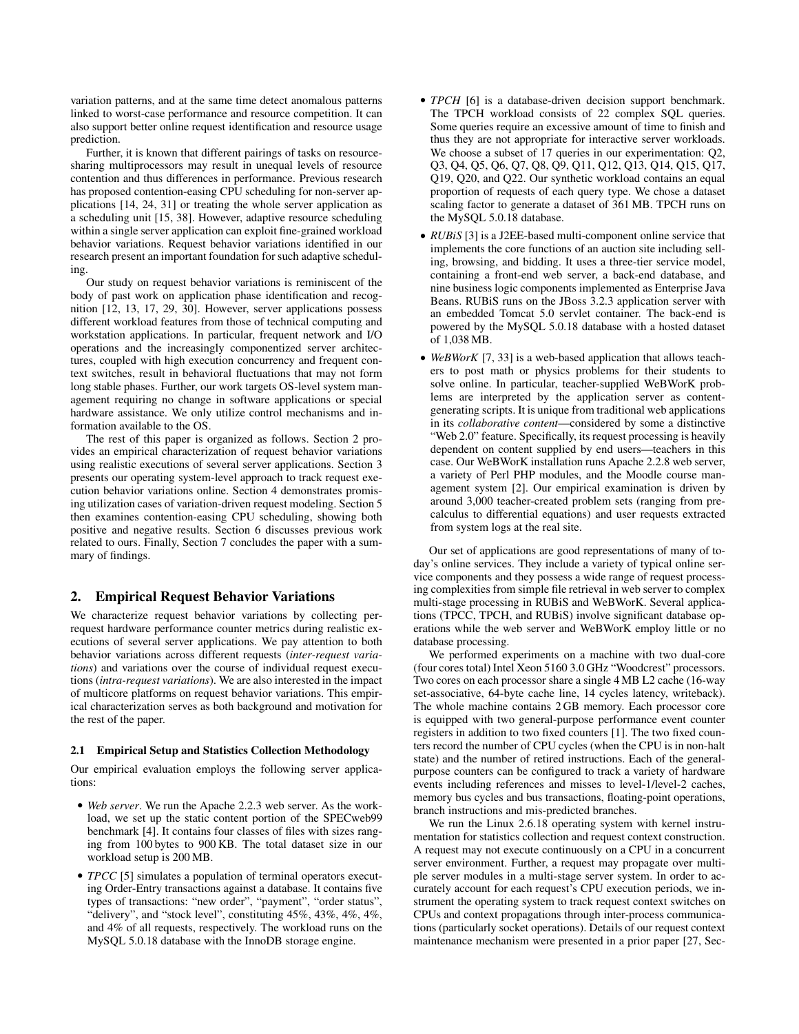variation patterns, and at the same time detect anomalous patterns linked to worst-case performance and resource competition. It can also support better online request identification and resource usage prediction.

Further, it is known that different pairings of tasks on resourcesharing multiprocessors may result in unequal levels of resource contention and thus differences in performance. Previous research has proposed contention-easing CPU scheduling for non-server applications [14, 24, 31] or treating the whole server application as a scheduling unit [15, 38]. However, adaptive resource scheduling within a single server application can exploit fine-grained workload behavior variations. Request behavior variations identified in our research present an important foundation for such adaptive scheduling.

Our study on request behavior variations is reminiscent of the body of past work on application phase identification and recognition [12, 13, 17, 29, 30]. However, server applications possess different workload features from those of technical computing and workstation applications. In particular, frequent network and I/O operations and the increasingly componentized server architectures, coupled with high execution concurrency and frequent context switches, result in behavioral fluctuations that may not form long stable phases. Further, our work targets OS-level system management requiring no change in software applications or special hardware assistance. We only utilize control mechanisms and information available to the OS.

The rest of this paper is organized as follows. Section 2 provides an empirical characterization of request behavior variations using realistic executions of several server applications. Section 3 presents our operating system-level approach to track request execution behavior variations online. Section 4 demonstrates promising utilization cases of variation-driven request modeling. Section 5 then examines contention-easing CPU scheduling, showing both positive and negative results. Section 6 discusses previous work related to ours. Finally, Section 7 concludes the paper with a summary of findings.

# **2. Empirical Request Behavior Variations**

We characterize request behavior variations by collecting perrequest hardware performance counter metrics during realistic executions of several server applications. We pay attention to both behavior variations across different requests (*inter-request variations*) and variations over the course of individual request executions (*intra-request variations*). We are also interested in the impact of multicore platforms on request behavior variations. This empirical characterization serves as both background and motivation for the rest of the paper.

### **2.1 Empirical Setup and Statistics Collection Methodology**

Our empirical evaluation employs the following server applications:

- *Web server*. We run the Apache 2.2.3 web server. As the workload, we set up the static content portion of the SPECweb99 benchmark [4]. It contains four classes of files with sizes ranging from 100 bytes to 900 KB. The total dataset size in our workload setup is 200 MB.
- *TPCC* [5] simulates a population of terminal operators executing Order-Entry transactions against a database. It contains five types of transactions: "new order", "payment", "order status", "delivery", and "stock level", constituting 45%, 43%, 4%, 4%, and 4% of all requests, respectively. The workload runs on the MySQL 5.0.18 database with the InnoDB storage engine.
- *TPCH* [6] is a database-driven decision support benchmark. The TPCH workload consists of 22 complex SQL queries. Some queries require an excessive amount of time to finish and thus they are not appropriate for interactive server workloads. We choose a subset of 17 queries in our experimentation: Q2, Q3, Q4, Q5, Q6, Q7, Q8, Q9, Q11, Q12, Q13, Q14, Q15, Q17, Q19, Q20, and Q22. Our synthetic workload contains an equal proportion of requests of each query type. We chose a dataset scaling factor to generate a dataset of 361 MB. TPCH runs on the MySQL 5.0.18 database.
- *RUBiS* [3] is a J2EE-based multi-component online service that implements the core functions of an auction site including selling, browsing, and bidding. It uses a three-tier service model, containing a front-end web server, a back-end database, and nine business logic components implemented as Enterprise Java Beans. RUBiS runs on the JBoss 3.2.3 application server with an embedded Tomcat 5.0 servlet container. The back-end is powered by the MySQL 5.0.18 database with a hosted dataset of 1,038 MB.
- *WeBWorK* [7, 33] is a web-based application that allows teachers to post math or physics problems for their students to solve online. In particular, teacher-supplied WeBWorK problems are interpreted by the application server as contentgenerating scripts. It is unique from traditional web applications in its *collaborative content*—considered by some a distinctive "Web 2.0" feature. Specifically, its request processing is heavily dependent on content supplied by end users—teachers in this case. Our WeBWorK installation runs Apache 2.2.8 web server, a variety of Perl PHP modules, and the Moodle course management system [2]. Our empirical examination is driven by around 3,000 teacher-created problem sets (ranging from precalculus to differential equations) and user requests extracted from system logs at the real site.

Our set of applications are good representations of many of today's online services. They include a variety of typical online service components and they possess a wide range of request processing complexities from simple file retrieval in web server to complex multi-stage processing in RUBiS and WeBWorK. Several applications (TPCC, TPCH, and RUBiS) involve significant database operations while the web server and WeBWorK employ little or no database processing.

We performed experiments on a machine with two dual-core (four cores total) Intel Xeon 5160 3.0 GHz "Woodcrest" processors. Two cores on each processor share a single 4 MB L2 cache (16-way set-associative, 64-byte cache line, 14 cycles latency, writeback). The whole machine contains 2 GB memory. Each processor core is equipped with two general-purpose performance event counter registers in addition to two fixed counters [1]. The two fixed counters record the number of CPU cycles (when the CPU is in non-halt state) and the number of retired instructions. Each of the generalpurpose counters can be configured to track a variety of hardware events including references and misses to level-1/level-2 caches, memory bus cycles and bus transactions, floating-point operations, branch instructions and mis-predicted branches.

We run the Linux 2.6.18 operating system with kernel instrumentation for statistics collection and request context construction. A request may not execute continuously on a CPU in a concurrent server environment. Further, a request may propagate over multiple server modules in a multi-stage server system. In order to accurately account for each request's CPU execution periods, we instrument the operating system to track request context switches on CPUs and context propagations through inter-process communications (particularly socket operations). Details of our request context maintenance mechanism were presented in a prior paper [27, Sec-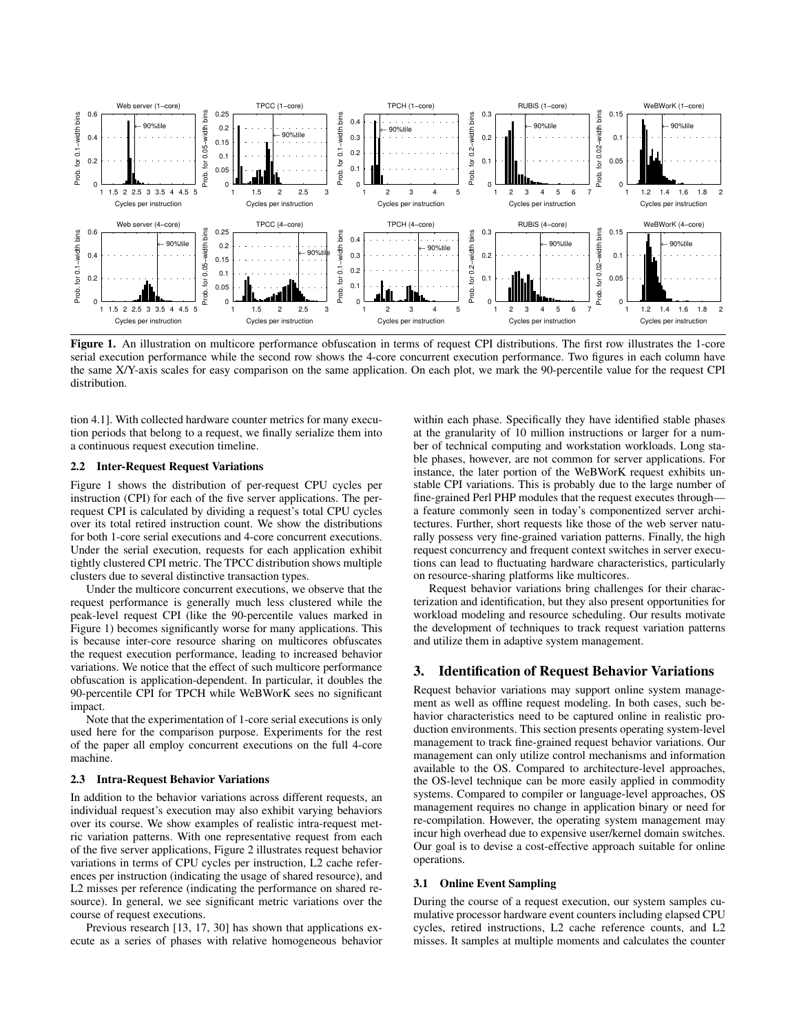

**Figure 1.** An illustration on multicore performance obfuscation in terms of request CPI distributions. The first row illustrates the 1-core serial execution performance while the second row shows the 4-core concurrent execution performance. Two figures in each column have the same X/Y-axis scales for easy comparison on the same application. On each plot, we mark the 90-percentile value for the request CPI distribution.

tion 4.1]. With collected hardware counter metrics for many execution periods that belong to a request, we finally serialize them into a continuous request execution timeline.

### **2.2 Inter-Request Request Variations**

Figure 1 shows the distribution of per-request CPU cycles per instruction (CPI) for each of the five server applications. The perrequest CPI is calculated by dividing a request's total CPU cycles over its total retired instruction count. We show the distributions for both 1-core serial executions and 4-core concurrent executions. Under the serial execution, requests for each application exhibit tightly clustered CPI metric. The TPCC distribution shows multiple clusters due to several distinctive transaction types.

Under the multicore concurrent executions, we observe that the request performance is generally much less clustered while the peak-level request CPI (like the 90-percentile values marked in Figure 1) becomes significantly worse for many applications. This is because inter-core resource sharing on multicores obfuscates the request execution performance, leading to increased behavior variations. We notice that the effect of such multicore performance obfuscation is application-dependent. In particular, it doubles the 90-percentile CPI for TPCH while WeBWorK sees no significant impact.

Note that the experimentation of 1-core serial executions is only used here for the comparison purpose. Experiments for the rest of the paper all employ concurrent executions on the full 4-core machine.

#### **2.3 Intra-Request Behavior Variations**

In addition to the behavior variations across different requests, an individual request's execution may also exhibit varying behaviors over its course. We show examples of realistic intra-request metric variation patterns. With one representative request from each of the five server applications, Figure 2 illustrates request behavior variations in terms of CPU cycles per instruction, L2 cache references per instruction (indicating the usage of shared resource), and L2 misses per reference (indicating the performance on shared resource). In general, we see significant metric variations over the course of request executions.

Previous research [13, 17, 30] has shown that applications execute as a series of phases with relative homogeneous behavior

within each phase. Specifically they have identified stable phases at the granularity of 10 million instructions or larger for a number of technical computing and workstation workloads. Long stable phases, however, are not common for server applications. For instance, the later portion of the WeBWorK request exhibits unstable CPI variations. This is probably due to the large number of fine-grained Perl PHP modules that the request executes through a feature commonly seen in today's componentized server architectures. Further, short requests like those of the web server naturally possess very fine-grained variation patterns. Finally, the high request concurrency and frequent context switches in server executions can lead to fluctuating hardware characteristics, particularly on resource-sharing platforms like multicores.

Request behavior variations bring challenges for their characterization and identification, but they also present opportunities for workload modeling and resource scheduling. Our results motivate the development of techniques to track request variation patterns and utilize them in adaptive system management.

# **3. Identification of Request Behavior Variations**

Request behavior variations may support online system management as well as offline request modeling. In both cases, such behavior characteristics need to be captured online in realistic production environments. This section presents operating system-level management to track fine-grained request behavior variations. Our management can only utilize control mechanisms and information available to the OS. Compared to architecture-level approaches, the OS-level technique can be more easily applied in commodity systems. Compared to compiler or language-level approaches, OS management requires no change in application binary or need for re-compilation. However, the operating system management may incur high overhead due to expensive user/kernel domain switches. Our goal is to devise a cost-effective approach suitable for online operations.

### **3.1 Online Event Sampling**

During the course of a request execution, our system samples cumulative processor hardware event counters including elapsed CPU cycles, retired instructions, L2 cache reference counts, and L2 misses. It samples at multiple moments and calculates the counter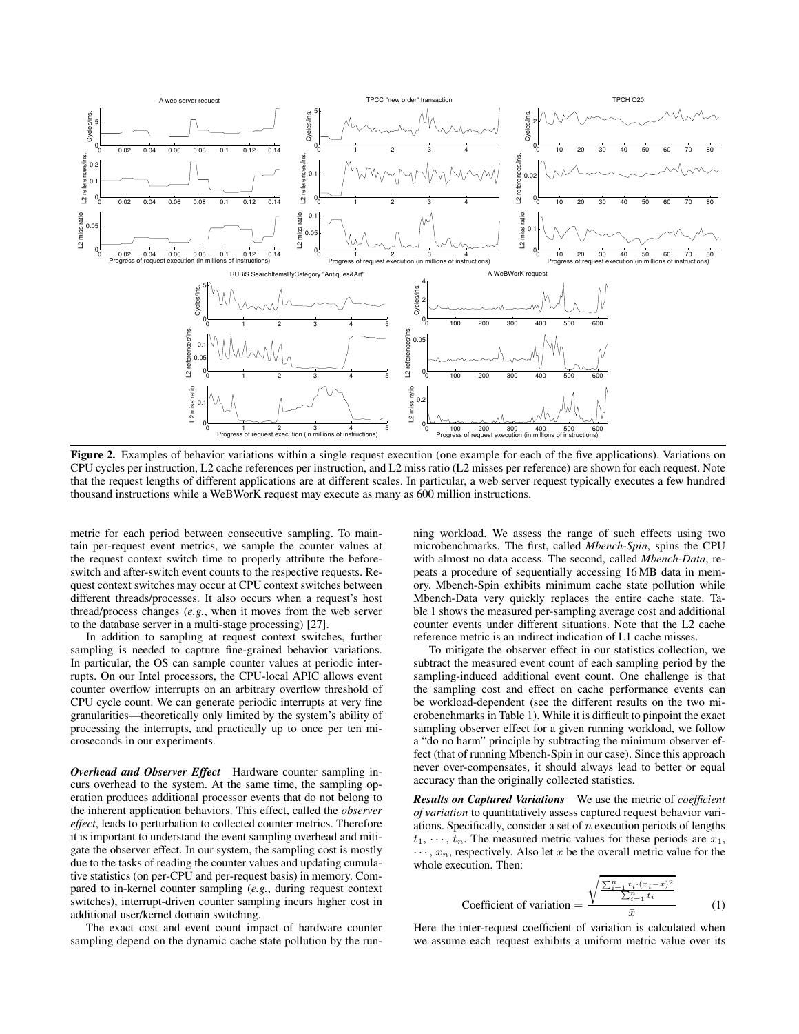

**Figure 2.** Examples of behavior variations within a single request execution (one example for each of the five applications). Variations on CPU cycles per instruction, L2 cache references per instruction, and L2 miss ratio (L2 misses per reference) are shown for each request. Note that the request lengths of different applications are at different scales. In particular, a web server request typically executes a few hundred thousand instructions while a WeBWorK request may execute as many as 600 million instructions.

metric for each period between consecutive sampling. To maintain per-request event metrics, we sample the counter values at the request context switch time to properly attribute the beforeswitch and after-switch event counts to the respective requests. Request context switches may occur at CPU context switches between different threads/processes. It also occurs when a request's host thread/process changes (*e.g.*, when it moves from the web server to the database server in a multi-stage processing) [27].

In addition to sampling at request context switches, further sampling is needed to capture fine-grained behavior variations. In particular, the OS can sample counter values at periodic interrupts. On our Intel processors, the CPU-local APIC allows event counter overflow interrupts on an arbitrary overflow threshold of CPU cycle count. We can generate periodic interrupts at very fine granularities—theoretically only limited by the system's ability of processing the interrupts, and practically up to once per ten microseconds in our experiments.

*Overhead and Observer Effect* Hardware counter sampling incurs overhead to the system. At the same time, the sampling operation produces additional processor events that do not belong to the inherent application behaviors. This effect, called the *observer effect*, leads to perturbation to collected counter metrics. Therefore it is important to understand the event sampling overhead and mitigate the observer effect. In our system, the sampling cost is mostly due to the tasks of reading the counter values and updating cumulative statistics (on per-CPU and per-request basis) in memory. Compared to in-kernel counter sampling (*e.g.*, during request context switches), interrupt-driven counter sampling incurs higher cost in additional user/kernel domain switching.

The exact cost and event count impact of hardware counter sampling depend on the dynamic cache state pollution by the running workload. We assess the range of such effects using two microbenchmarks. The first, called *Mbench-Spin*, spins the CPU with almost no data access. The second, called *Mbench-Data*, repeats a procedure of sequentially accessing 16 MB data in memory. Mbench-Spin exhibits minimum cache state pollution while Mbench-Data very quickly replaces the entire cache state. Table 1 shows the measured per-sampling average cost and additional counter events under different situations. Note that the L2 cache reference metric is an indirect indication of L1 cache misses.

To mitigate the observer effect in our statistics collection, we subtract the measured event count of each sampling period by the sampling-induced additional event count. One challenge is that the sampling cost and effect on cache performance events can be workload-dependent (see the different results on the two microbenchmarks in Table 1). While it is difficult to pinpoint the exact sampling observer effect for a given running workload, we follow a "do no harm" principle by subtracting the minimum observer effect (that of running Mbench-Spin in our case). Since this approach never over-compensates, it should always lead to better or equal accuracy than the originally collected statistics.

*Results on Captured Variations* We use the metric of *coefficient of variation* to quantitatively assess captured request behavior variations. Specifically, consider a set of  $n$  execution periods of lengths  $t_1, \dots, t_n$ . The measured metric values for these periods are  $x_1$ ,  $\cdots$ ,  $x_n$ , respectively. Also let  $\bar{x}$  be the overall metric value for the whole execution. Then:

Coefficient of variation 
$$
= \frac{\sqrt{\frac{\sum_{i=1}^{n} t_i \cdot (x_i - \bar{x})^2}{\sum_{i=1}^{n} t_i}}}{\bar{x}}
$$
(1)

Here the inter-request coefficient of variation is calculated when we assume each request exhibits a uniform metric value over its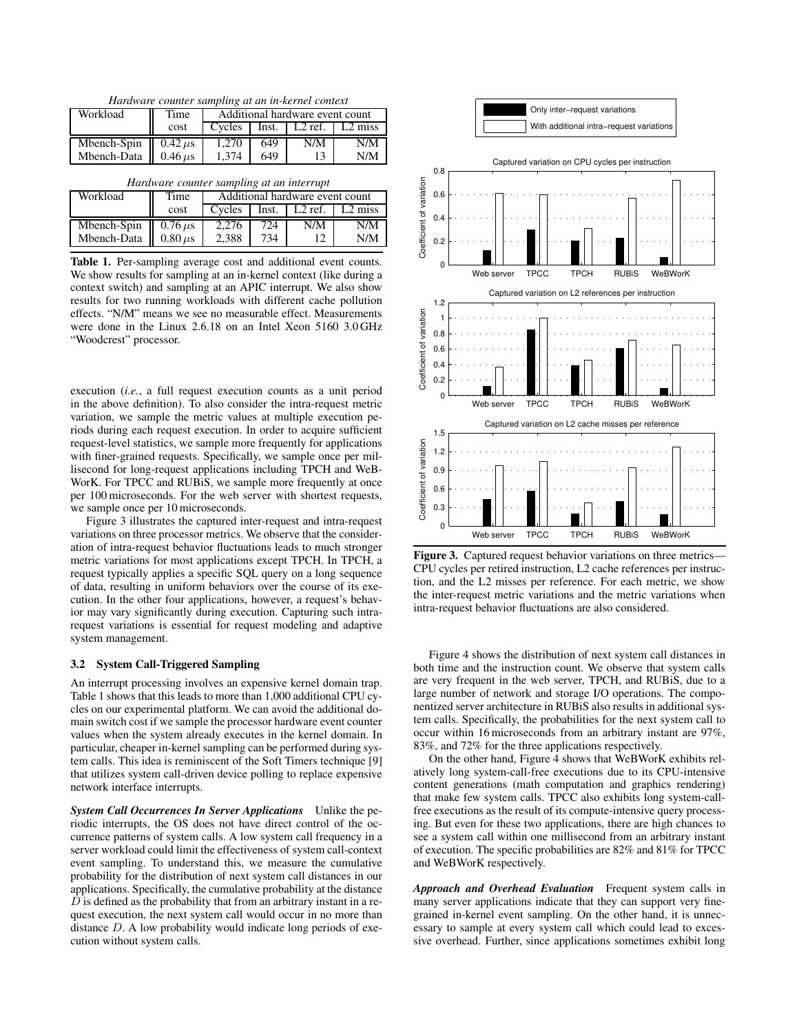*Hardware counter sampling at an in-kernel context*

| Workload                            | Time           | Additional hardware event count |       |           |                     |
|-------------------------------------|----------------|---------------------------------|-------|-----------|---------------------|
|                                     | cost           | Cycles                          | Inst. | $L2$ ref. | L <sub>2</sub> miss |
| Mbench-Spin $\overline{0.42 \mu s}$ |                | 1.270                           | 649   | N/M       | N/M                 |
| Ш<br>Mbench-Data                    | $0.46 \,\mu s$ | 1.374                           | 649   |           | N/M                 |

*Hardware counter sampling at an interrupt*

| Workload                           | Time           | Additional hardware event count |       |                        |                     |
|------------------------------------|----------------|---------------------------------|-------|------------------------|---------------------|
|                                    | cost           | Cycles                          | Inst. | L2 ref. $\blacksquare$ | L <sub>2</sub> miss |
| Mbench-Spin $\bigcup$ 0.76 $\mu$ s |                | 2.276                           | 724   | N/M                    | N/M                 |
| Ш<br>Mbench-Data                   | $0.80 \,\mu s$ | 2.388                           | 734   |                        | N/M                 |

**Table 1.** Per-sampling average cost and additional event counts. We show results for sampling at an in-kernel context (like during a context switch) and sampling at an APIC interrupt. We also show results for two running workloads with different cache pollution effects. "N/M" means we see no measurable effect. Measurements were done in the Linux 2.6.18 on an Intel Xeon 5160 3.0 GHz "Woodcrest" processor.

execution (*i.e.*, a full request execution counts as a unit period in the above definition). To also consider the intra-request metric variation, we sample the metric values at multiple execution periods during each request execution. In order to acquire sufficient request-level statistics, we sample more frequently for applications with finer-grained requests. Specifically, we sample once per millisecond for long-request applications including TPCH and WeB-WorK. For TPCC and RUBiS, we sample more frequently at once per 100 microseconds. For the web server with shortest requests, we sample once per 10 microseconds.

Figure 3 illustrates the captured inter-request and intra-request variations on three processor metrics. We observe that the consideration of intra-request behavior fluctuations leads to much stronger metric variations for most applications except TPCH. In TPCH, a request typically applies a specific SQL query on a long sequence of data, resulting in uniform behaviors over the course of its execution. In the other four applications, however, a request's behavior may vary significantly during execution. Capturing such intrarequest variations is essential for request modeling and adaptive system management.

### **3.2 System Call-Triggered Sampling**

An interrupt processing involves an expensive kernel domain trap. Table 1 shows that this leads to more than 1,000 additional CPU cycles on our experimental platform. We can avoid the additional domain switch cost if we sample the processor hardware event counter values when the system already executes in the kernel domain. In particular, cheaper in-kernel sampling can be performed during system calls. This idea is reminiscent of the Soft Timers technique [9] that utilizes system call-driven device polling to replace expensive network interface interrupts.

*System Call Occurrences In Server Applications* Unlike the periodic interrupts, the OS does not have direct control of the occurrence patterns of system calls. A low system call frequency in a server workload could limit the effectiveness of system call-context event sampling. To understand this, we measure the cumulative probability for the distribution of next system call distances in our applications. Specifically, the cumulative probability at the distance  $D$  is defined as the probability that from an arbitrary instant in a request execution, the next system call would occur in no more than distance D. A low probability would indicate long periods of execution without system calls.



**Figure 3.** Captured request behavior variations on three metrics— CPU cycles per retired instruction, L2 cache references per instruction, and the L2 misses per reference. For each metric, we show the inter-request metric variations and the metric variations when intra-request behavior fluctuations are also considered.

Figure 4 shows the distribution of next system call distances in both time and the instruction count. We observe that system calls are very frequent in the web server, TPCH, and RUBiS, due to a large number of network and storage I/O operations. The componentized server architecture in RUBiS also results in additional system calls. Specifically, the probabilities for the next system call to occur within 16 microseconds from an arbitrary instant are 97%, 83%, and 72% for the three applications respectively.

On the other hand, Figure 4 shows that WeBWorK exhibits relatively long system-call-free executions due to its CPU-intensive content generations (math computation and graphics rendering) that make few system calls. TPCC also exhibits long system-callfree executions as the result of its compute-intensive query processing. But even for these two applications, there are high chances to see a system call within one millisecond from an arbitrary instant of execution. The specific probabilities are 82% and 81% for TPCC and WeBWorK respectively.

*Approach and Overhead Evaluation* Frequent system calls in many server applications indicate that they can support very finegrained in-kernel event sampling. On the other hand, it is unnecessary to sample at every system call which could lead to excessive overhead. Further, since applications sometimes exhibit long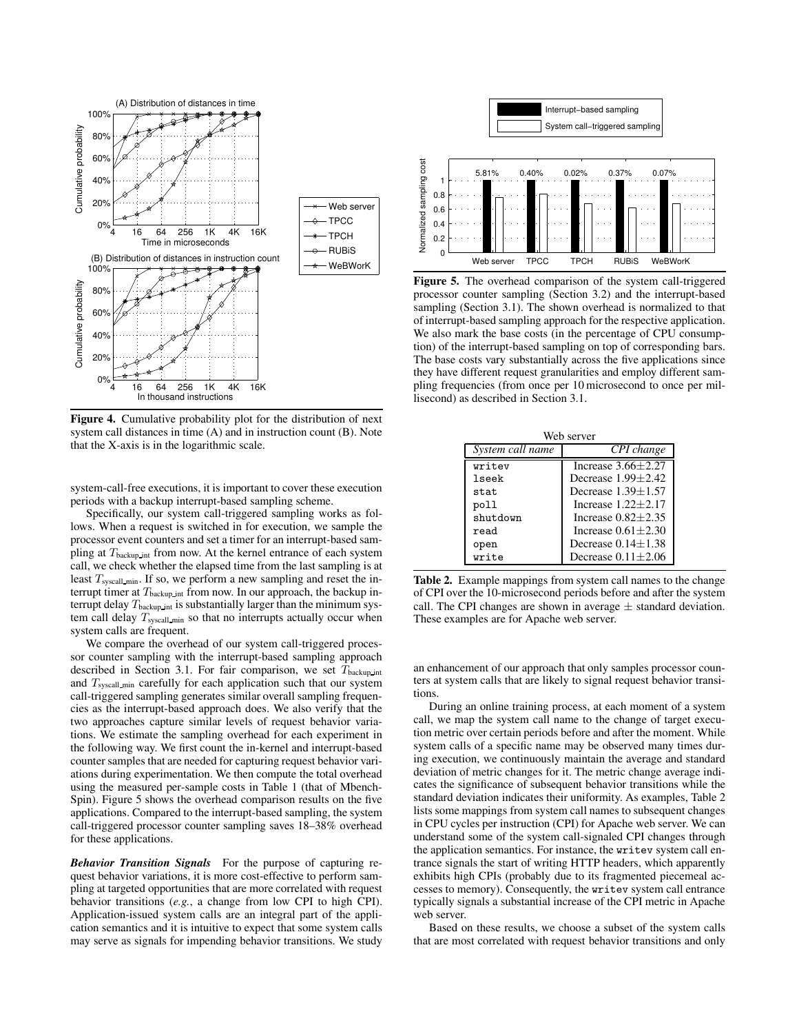

**Figure 4.** Cumulative probability plot for the distribution of next system call distances in time (A) and in instruction count (B). Note that the X-axis is in the logarithmic scale.

system-call-free executions, it is important to cover these execution periods with a backup interrupt-based sampling scheme.

Specifically, our system call-triggered sampling works as follows. When a request is switched in for execution, we sample the processor event counters and set a timer for an interrupt-based sampling at  $T_{\text{backup-int}}$  from now. At the kernel entrance of each system call, we check whether the elapsed time from the last sampling is at least  $T_{\text{syscall\_min}}$ . If so, we perform a new sampling and reset the interrupt timer at  $T_{\text{backward}}$  int from now. In our approach, the backup interrupt delay  $T_{\text{backup-int}}$  is substantially larger than the minimum system call delay  $T_{\text{syscall\_min}}$  so that no interrupts actually occur when system calls are frequent.

We compare the overhead of our system call-triggered processor counter sampling with the interrupt-based sampling approach described in Section 3.1. For fair comparison, we set  $T_{\text{backup-int}}$ and  $T_{\text{syscall,min}}$  carefully for each application such that our system call-triggered sampling generates similar overall sampling frequencies as the interrupt-based approach does. We also verify that the two approaches capture similar levels of request behavior variations. We estimate the sampling overhead for each experiment in the following way. We first count the in-kernel and interrupt-based counter samples that are needed for capturing request behavior variations during experimentation. We then compute the total overhead using the measured per-sample costs in Table 1 (that of Mbench-Spin). Figure 5 shows the overhead comparison results on the five applications. Compared to the interrupt-based sampling, the system call-triggered processor counter sampling saves 18–38% overhead for these applications.

*Behavior Transition Signals* For the purpose of capturing request behavior variations, it is more cost-effective to perform sampling at targeted opportunities that are more correlated with request behavior transitions (*e.g.*, a change from low CPI to high CPI). Application-issued system calls are an integral part of the application semantics and it is intuitive to expect that some system calls may serve as signals for impending behavior transitions. We study



**Figure 5.** The overhead comparison of the system call-triggered processor counter sampling (Section 3.2) and the interrupt-based sampling (Section 3.1). The shown overhead is normalized to that of interrupt-based sampling approach for the respective application. We also mark the base costs (in the percentage of CPU consumption) of the interrupt-based sampling on top of corresponding bars. The base costs vary substantially across the five applications since they have different request granularities and employ different sampling frequencies (from once per 10 microsecond to once per millisecond) as described in Section 3.1.

| Web server       |                          |  |  |  |
|------------------|--------------------------|--|--|--|
| System call name | CPI change               |  |  |  |
| writev           | Increase $3.66 + 2.27$   |  |  |  |
| lseek            | Decrease $1.99 \pm 2.42$ |  |  |  |
| stat.            | Decrease $1.39 + 1.57$   |  |  |  |
| poll             | Increase $1.22+2.17$     |  |  |  |
| shutdown         | Increase $0.82+2.35$     |  |  |  |
| read             | Increase $0.61 \pm 2.30$ |  |  |  |
| open             | Decrease $0.14 + 1.38$   |  |  |  |
| write            | Decrease $0.11 \pm 2.06$ |  |  |  |

**Table 2.** Example mappings from system call names to the change of CPI over the 10-microsecond periods before and after the system call. The CPI changes are shown in average  $\pm$  standard deviation. These examples are for Apache web server.

an enhancement of our approach that only samples processor counters at system calls that are likely to signal request behavior transitions.

During an online training process, at each moment of a system call, we map the system call name to the change of target execution metric over certain periods before and after the moment. While system calls of a specific name may be observed many times during execution, we continuously maintain the average and standard deviation of metric changes for it. The metric change average indicates the significance of subsequent behavior transitions while the standard deviation indicates their uniformity. As examples, Table 2 lists some mappings from system call names to subsequent changes in CPU cycles per instruction (CPI) for Apache web server. We can understand some of the system call-signaled CPI changes through the application semantics. For instance, the writev system call entrance signals the start of writing HTTP headers, which apparently exhibits high CPIs (probably due to its fragmented piecemeal accesses to memory). Consequently, the writev system call entrance typically signals a substantial increase of the CPI metric in Apache web server.

Based on these results, we choose a subset of the system calls that are most correlated with request behavior transitions and only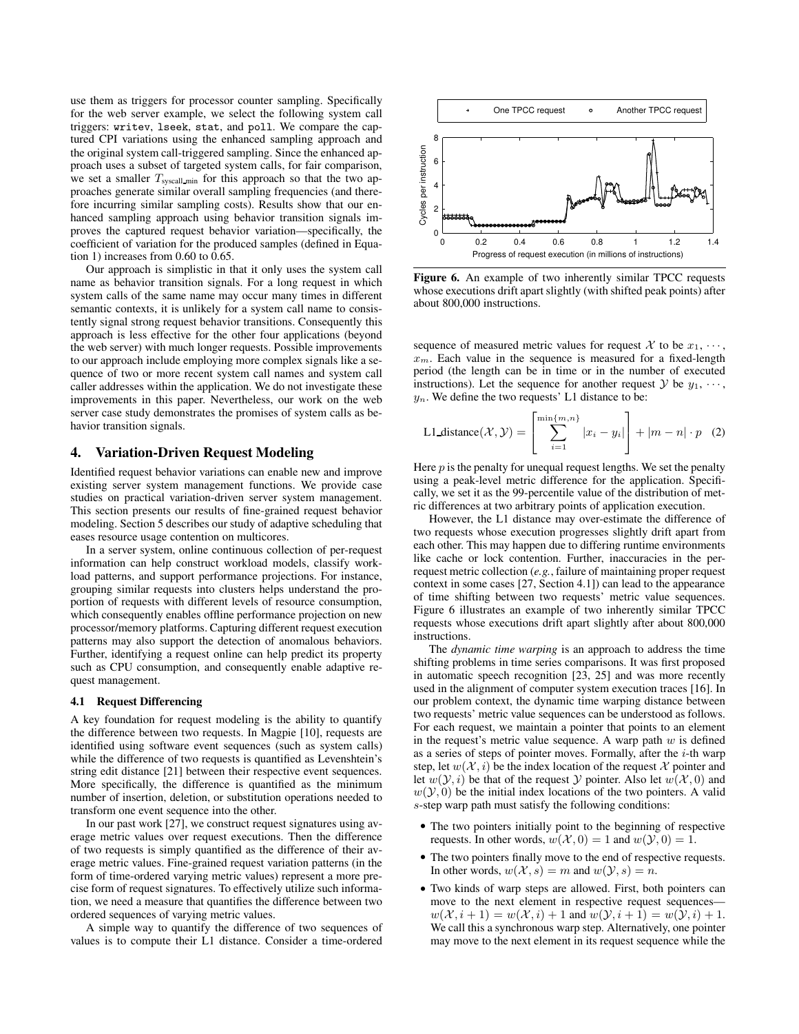use them as triggers for processor counter sampling. Specifically for the web server example, we select the following system call triggers: writev, lseek, stat, and poll. We compare the captured CPI variations using the enhanced sampling approach and the original system call-triggered sampling. Since the enhanced approach uses a subset of targeted system calls, for fair comparison, we set a smaller  $T_{\text{syscall min}}$  for this approach so that the two approaches generate similar overall sampling frequencies (and therefore incurring similar sampling costs). Results show that our enhanced sampling approach using behavior transition signals improves the captured request behavior variation—specifically, the coefficient of variation for the produced samples (defined in Equation 1) increases from 0.60 to 0.65.

Our approach is simplistic in that it only uses the system call name as behavior transition signals. For a long request in which system calls of the same name may occur many times in different semantic contexts, it is unlikely for a system call name to consistently signal strong request behavior transitions. Consequently this approach is less effective for the other four applications (beyond the web server) with much longer requests. Possible improvements to our approach include employing more complex signals like a sequence of two or more recent system call names and system call caller addresses within the application. We do not investigate these improvements in this paper. Nevertheless, our work on the web server case study demonstrates the promises of system calls as behavior transition signals.

# **4. Variation-Driven Request Modeling**

Identified request behavior variations can enable new and improve existing server system management functions. We provide case studies on practical variation-driven server system management. This section presents our results of fine-grained request behavior modeling. Section 5 describes our study of adaptive scheduling that eases resource usage contention on multicores.

In a server system, online continuous collection of per-request information can help construct workload models, classify workload patterns, and support performance projections. For instance, grouping similar requests into clusters helps understand the proportion of requests with different levels of resource consumption, which consequently enables offline performance projection on new processor/memory platforms. Capturing different request execution patterns may also support the detection of anomalous behaviors. Further, identifying a request online can help predict its property such as CPU consumption, and consequently enable adaptive request management.

### **4.1 Request Differencing**

A key foundation for request modeling is the ability to quantify the difference between two requests. In Magpie [10], requests are identified using software event sequences (such as system calls) while the difference of two requests is quantified as Levenshtein's string edit distance [21] between their respective event sequences. More specifically, the difference is quantified as the minimum number of insertion, deletion, or substitution operations needed to transform one event sequence into the other.

In our past work [27], we construct request signatures using average metric values over request executions. Then the difference of two requests is simply quantified as the difference of their average metric values. Fine-grained request variation patterns (in the form of time-ordered varying metric values) represent a more precise form of request signatures. To effectively utilize such information, we need a measure that quantifies the difference between two ordered sequences of varying metric values.

A simple way to quantify the difference of two sequences of values is to compute their L1 distance. Consider a time-ordered



**Figure 6.** An example of two inherently similar TPCC requests whose executions drift apart slightly (with shifted peak points) after about 800,000 instructions.

sequence of measured metric values for request X to be  $x_1, \dots,$  $x_m$ . Each value in the sequence is measured for a fixed-length period (the length can be in time or in the number of executed instructions). Let the sequence for another request  $\mathcal Y$  be  $y_1, \dots,$  $y_n$ . We define the two requests' L1 distance to be:

L1-distance
$$
(\mathcal{X}, \mathcal{Y}) = \left[\sum_{i=1}^{\min\{m,n\}} |x_i - y_i|\right] + |m - n| \cdot p
$$
 (2)

Here  $p$  is the penalty for unequal request lengths. We set the penalty using a peak-level metric difference for the application. Specifically, we set it as the 99-percentile value of the distribution of metric differences at two arbitrary points of application execution.

However, the L1 distance may over-estimate the difference of two requests whose execution progresses slightly drift apart from each other. This may happen due to differing runtime environments like cache or lock contention. Further, inaccuracies in the perrequest metric collection (*e.g.*, failure of maintaining proper request context in some cases [27, Section 4.1]) can lead to the appearance of time shifting between two requests' metric value sequences. Figure 6 illustrates an example of two inherently similar TPCC requests whose executions drift apart slightly after about 800,000 instructions.

The *dynamic time warping* is an approach to address the time shifting problems in time series comparisons. It was first proposed in automatic speech recognition [23, 25] and was more recently used in the alignment of computer system execution traces [16]. In our problem context, the dynamic time warping distance between two requests' metric value sequences can be understood as follows. For each request, we maintain a pointer that points to an element in the request's metric value sequence. A warp path  $w$  is defined as a series of steps of pointer moves. Formally, after the  $i$ -th warp step, let  $w(\mathcal{X}, i)$  be the index location of the request X pointer and let  $w(\mathcal{Y}, i)$  be that of the request  $\mathcal Y$  pointer. Also let  $w(\mathcal{X}, 0)$  and  $w(Y, 0)$  be the initial index locations of the two pointers. A valid s-step warp path must satisfy the following conditions:

- The two pointers initially point to the beginning of respective requests. In other words,  $w(\mathcal{X}, 0) = 1$  and  $w(\mathcal{Y}, 0) = 1$ .
- The two pointers finally move to the end of respective requests. In other words,  $w(\mathcal{X}, s) = m$  and  $w(\mathcal{Y}, s) = n$ .
- Two kinds of warp steps are allowed. First, both pointers can move to the next element in respective request sequences  $w(\mathcal{X}, i + 1) = w(\mathcal{X}, i) + 1$  and  $w(\mathcal{Y}, i + 1) = w(\mathcal{Y}, i) + 1$ . We call this a synchronous warp step. Alternatively, one pointer may move to the next element in its request sequence while the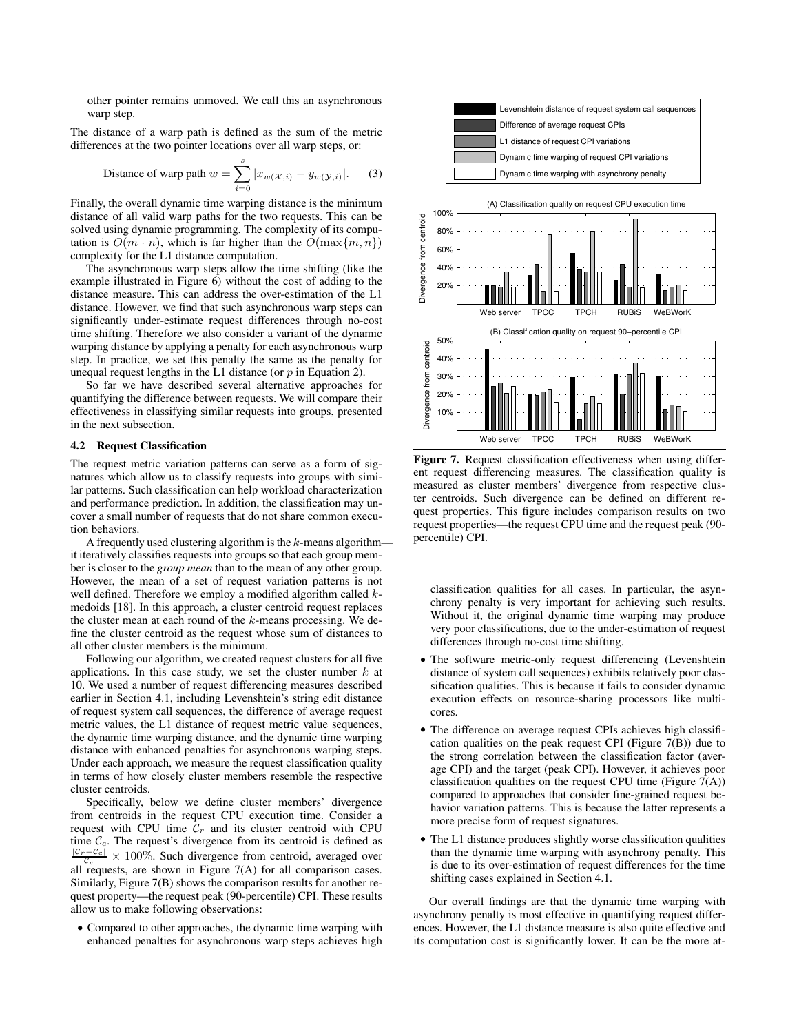other pointer remains unmoved. We call this an asynchronous warp step.

The distance of a warp path is defined as the sum of the metric differences at the two pointer locations over all warp steps, or:

Distance of warp path 
$$
w = \sum_{i=0}^{s} |x_{w(\mathcal{X},i)} - y_{w(\mathcal{Y},i)}|.
$$
 (3)

Finally, the overall dynamic time warping distance is the minimum distance of all valid warp paths for the two requests. This can be solved using dynamic programming. The complexity of its computation is  $O(m \cdot n)$ , which is far higher than the  $O(\max\{m, n\})$ complexity for the L1 distance computation.

The asynchronous warp steps allow the time shifting (like the example illustrated in Figure 6) without the cost of adding to the distance measure. This can address the over-estimation of the L1 distance. However, we find that such asynchronous warp steps can significantly under-estimate request differences through no-cost time shifting. Therefore we also consider a variant of the dynamic warping distance by applying a penalty for each asynchronous warp step. In practice, we set this penalty the same as the penalty for unequal request lengths in the L1 distance (or  $p$  in Equation 2).

So far we have described several alternative approaches for quantifying the difference between requests. We will compare their effectiveness in classifying similar requests into groups, presented in the next subsection.

# **4.2 Request Classification**

The request metric variation patterns can serve as a form of signatures which allow us to classify requests into groups with similar patterns. Such classification can help workload characterization and performance prediction. In addition, the classification may uncover a small number of requests that do not share common execution behaviors.

A frequently used clustering algorithm is the  $k$ -means algorithm it iteratively classifies requests into groups so that each group member is closer to the *group mean* than to the mean of any other group. However, the mean of a set of request variation patterns is not well defined. Therefore we employ a modified algorithm called kmedoids [18]. In this approach, a cluster centroid request replaces the cluster mean at each round of the  $k$ -means processing. We define the cluster centroid as the request whose sum of distances to all other cluster members is the minimum.

Following our algorithm, we created request clusters for all five applications. In this case study, we set the cluster number  $k$  at 10. We used a number of request differencing measures described earlier in Section 4.1, including Levenshtein's string edit distance of request system call sequences, the difference of average request metric values, the L1 distance of request metric value sequences, the dynamic time warping distance, and the dynamic time warping distance with enhanced penalties for asynchronous warping steps. Under each approach, we measure the request classification quality in terms of how closely cluster members resemble the respective cluster centroids.

Specifically, below we define cluster members' divergence from centroids in the request CPU execution time. Consider a request with CPU time  $\overline{C_r}$  and its cluster centroid with CPU time  $\mathcal{C}_c$ . The request's divergence from its centroid is defined as  $\frac{|\mathcal{C}_r-\mathcal{C}_c|}{|\mathcal{C}_c|} \times 100\%$ . Such divergence from centroid, averaged over all requests, are shown in Figure  $7(A)$  for all comparison cases. Similarly, Figure 7(B) shows the comparison results for another request property—the request peak (90-percentile) CPI. These results allow us to make following observations:

• Compared to other approaches, the dynamic time warping with enhanced penalties for asynchronous warp steps achieves high



**Figure 7.** Request classification effectiveness when using different request differencing measures. The classification quality is measured as cluster members' divergence from respective cluster centroids. Such divergence can be defined on different request properties. This figure includes comparison results on two request properties—the request CPU time and the request peak (90 percentile) CPI.

classification qualities for all cases. In particular, the asynchrony penalty is very important for achieving such results. Without it, the original dynamic time warping may produce very poor classifications, due to the under-estimation of request differences through no-cost time shifting.

- The software metric-only request differencing (Levenshtein distance of system call sequences) exhibits relatively poor classification qualities. This is because it fails to consider dynamic execution effects on resource-sharing processors like multicores.
- The difference on average request CPIs achieves high classification qualities on the peak request CPI (Figure  $7(B)$ ) due to the strong correlation between the classification factor (average CPI) and the target (peak CPI). However, it achieves poor classification qualities on the request CPU time (Figure  $7(A)$ ) compared to approaches that consider fine-grained request behavior variation patterns. This is because the latter represents a more precise form of request signatures.
- The L1 distance produces slightly worse classification qualities than the dynamic time warping with asynchrony penalty. This is due to its over-estimation of request differences for the time shifting cases explained in Section 4.1.

Our overall findings are that the dynamic time warping with asynchrony penalty is most effective in quantifying request differences. However, the L1 distance measure is also quite effective and its computation cost is significantly lower. It can be the more at-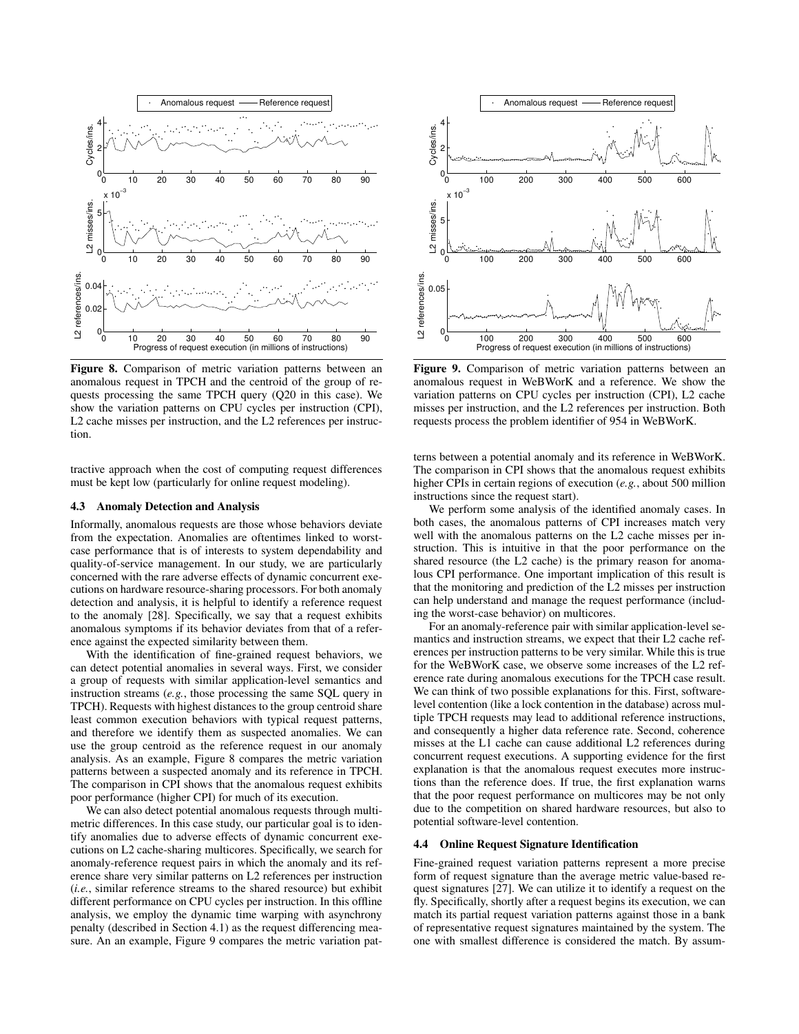

**Figure 8.** Comparison of metric variation patterns between an anomalous request in TPCH and the centroid of the group of requests processing the same TPCH query (Q20 in this case). We show the variation patterns on CPU cycles per instruction (CPI), L2 cache misses per instruction, and the L2 references per instruction.

tractive approach when the cost of computing request differences must be kept low (particularly for online request modeling).

### **4.3 Anomaly Detection and Analysis**

Informally, anomalous requests are those whose behaviors deviate from the expectation. Anomalies are oftentimes linked to worstcase performance that is of interests to system dependability and quality-of-service management. In our study, we are particularly concerned with the rare adverse effects of dynamic concurrent executions on hardware resource-sharing processors. For both anomaly detection and analysis, it is helpful to identify a reference request to the anomaly [28]. Specifically, we say that a request exhibits anomalous symptoms if its behavior deviates from that of a reference against the expected similarity between them.

With the identification of fine-grained request behaviors, we can detect potential anomalies in several ways. First, we consider a group of requests with similar application-level semantics and instruction streams (*e.g.*, those processing the same SQL query in TPCH). Requests with highest distances to the group centroid share least common execution behaviors with typical request patterns, and therefore we identify them as suspected anomalies. We can use the group centroid as the reference request in our anomaly analysis. As an example, Figure 8 compares the metric variation patterns between a suspected anomaly and its reference in TPCH. The comparison in CPI shows that the anomalous request exhibits poor performance (higher CPI) for much of its execution.

We can also detect potential anomalous requests through multimetric differences. In this case study, our particular goal is to identify anomalies due to adverse effects of dynamic concurrent executions on L2 cache-sharing multicores. Specifically, we search for anomaly-reference request pairs in which the anomaly and its reference share very similar patterns on L2 references per instruction (*i.e.*, similar reference streams to the shared resource) but exhibit different performance on CPU cycles per instruction. In this offline analysis, we employ the dynamic time warping with asynchrony penalty (described in Section 4.1) as the request differencing measure. An an example, Figure 9 compares the metric variation pat-



**Figure 9.** Comparison of metric variation patterns between an anomalous request in WeBWorK and a reference. We show the variation patterns on CPU cycles per instruction (CPI), L2 cache misses per instruction, and the L2 references per instruction. Both requests process the problem identifier of 954 in WeBWorK.

terns between a potential anomaly and its reference in WeBWorK. The comparison in CPI shows that the anomalous request exhibits higher CPIs in certain regions of execution (*e.g.*, about 500 million instructions since the request start).

We perform some analysis of the identified anomaly cases. In both cases, the anomalous patterns of CPI increases match very well with the anomalous patterns on the L2 cache misses per instruction. This is intuitive in that the poor performance on the shared resource (the L2 cache) is the primary reason for anomalous CPI performance. One important implication of this result is that the monitoring and prediction of the L2 misses per instruction can help understand and manage the request performance (including the worst-case behavior) on multicores.

For an anomaly-reference pair with similar application-level semantics and instruction streams, we expect that their L2 cache references per instruction patterns to be very similar. While this is true for the WeBWorK case, we observe some increases of the L2 reference rate during anomalous executions for the TPCH case result. We can think of two possible explanations for this. First, softwarelevel contention (like a lock contention in the database) across multiple TPCH requests may lead to additional reference instructions, and consequently a higher data reference rate. Second, coherence misses at the L1 cache can cause additional L2 references during concurrent request executions. A supporting evidence for the first explanation is that the anomalous request executes more instructions than the reference does. If true, the first explanation warns that the poor request performance on multicores may be not only due to the competition on shared hardware resources, but also to potential software-level contention.

### **4.4 Online Request Signature Identification**

Fine-grained request variation patterns represent a more precise form of request signature than the average metric value-based request signatures [27]. We can utilize it to identify a request on the fly. Specifically, shortly after a request begins its execution, we can match its partial request variation patterns against those in a bank of representative request signatures maintained by the system. The one with smallest difference is considered the match. By assum-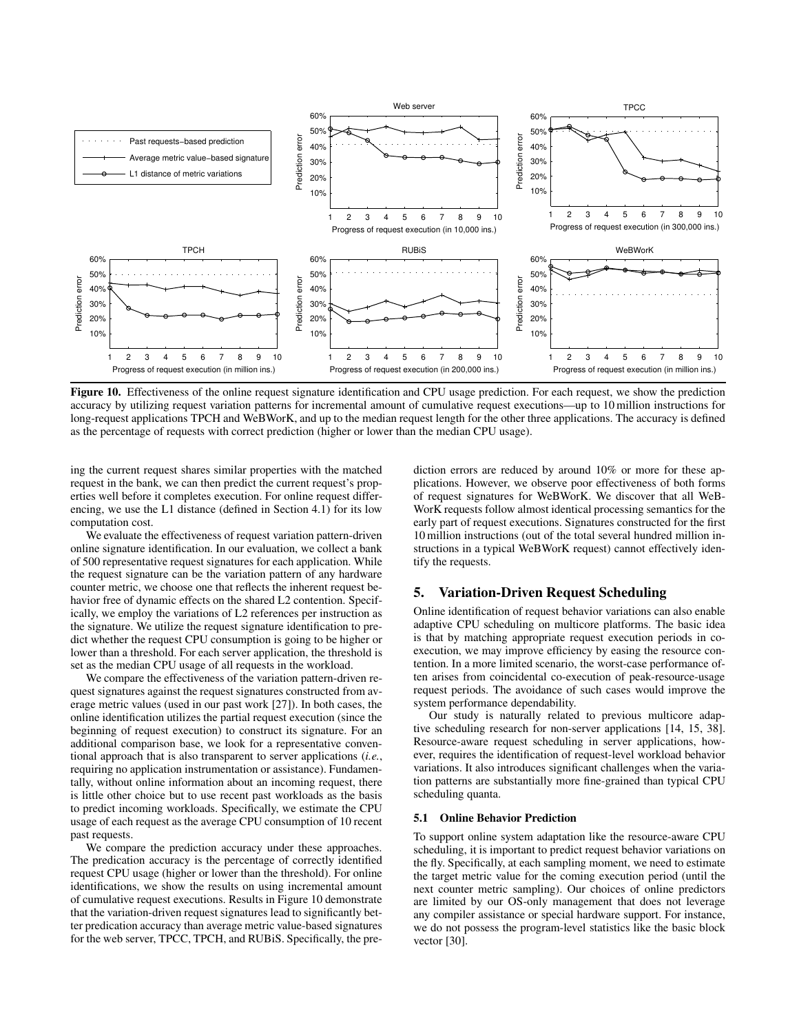

**Figure 10.** Effectiveness of the online request signature identification and CPU usage prediction. For each request, we show the prediction accuracy by utilizing request variation patterns for incremental amount of cumulative request executions—up to 10 million instructions for long-request applications TPCH and WeBWorK, and up to the median request length for the other three applications. The accuracy is defined as the percentage of requests with correct prediction (higher or lower than the median CPU usage).

ing the current request shares similar properties with the matched request in the bank, we can then predict the current request's properties well before it completes execution. For online request differencing, we use the L1 distance (defined in Section 4.1) for its low computation cost.

We evaluate the effectiveness of request variation pattern-driven online signature identification. In our evaluation, we collect a bank of 500 representative request signatures for each application. While the request signature can be the variation pattern of any hardware counter metric, we choose one that reflects the inherent request behavior free of dynamic effects on the shared L2 contention. Specifically, we employ the variations of L2 references per instruction as the signature. We utilize the request signature identification to predict whether the request CPU consumption is going to be higher or lower than a threshold. For each server application, the threshold is set as the median CPU usage of all requests in the workload.

We compare the effectiveness of the variation pattern-driven request signatures against the request signatures constructed from average metric values (used in our past work [27]). In both cases, the online identification utilizes the partial request execution (since the beginning of request execution) to construct its signature. For an additional comparison base, we look for a representative conventional approach that is also transparent to server applications (*i.e.*, requiring no application instrumentation or assistance). Fundamentally, without online information about an incoming request, there is little other choice but to use recent past workloads as the basis to predict incoming workloads. Specifically, we estimate the CPU usage of each request as the average CPU consumption of 10 recent past requests.

We compare the prediction accuracy under these approaches. The predication accuracy is the percentage of correctly identified request CPU usage (higher or lower than the threshold). For online identifications, we show the results on using incremental amount of cumulative request executions. Results in Figure 10 demonstrate that the variation-driven request signatures lead to significantly better predication accuracy than average metric value-based signatures for the web server, TPCC, TPCH, and RUBiS. Specifically, the prediction errors are reduced by around 10% or more for these applications. However, we observe poor effectiveness of both forms of request signatures for WeBWorK. We discover that all WeB-WorK requests follow almost identical processing semantics for the early part of request executions. Signatures constructed for the first 10 million instructions (out of the total several hundred million instructions in a typical WeBWorK request) cannot effectively identify the requests.

# **5. Variation-Driven Request Scheduling**

Online identification of request behavior variations can also enable adaptive CPU scheduling on multicore platforms. The basic idea is that by matching appropriate request execution periods in coexecution, we may improve efficiency by easing the resource contention. In a more limited scenario, the worst-case performance often arises from coincidental co-execution of peak-resource-usage request periods. The avoidance of such cases would improve the system performance dependability.

Our study is naturally related to previous multicore adaptive scheduling research for non-server applications [14, 15, 38]. Resource-aware request scheduling in server applications, however, requires the identification of request-level workload behavior variations. It also introduces significant challenges when the variation patterns are substantially more fine-grained than typical CPU scheduling quanta.

### **5.1 Online Behavior Prediction**

To support online system adaptation like the resource-aware CPU scheduling, it is important to predict request behavior variations on the fly. Specifically, at each sampling moment, we need to estimate the target metric value for the coming execution period (until the next counter metric sampling). Our choices of online predictors are limited by our OS-only management that does not leverage any compiler assistance or special hardware support. For instance, we do not possess the program-level statistics like the basic block vector [30].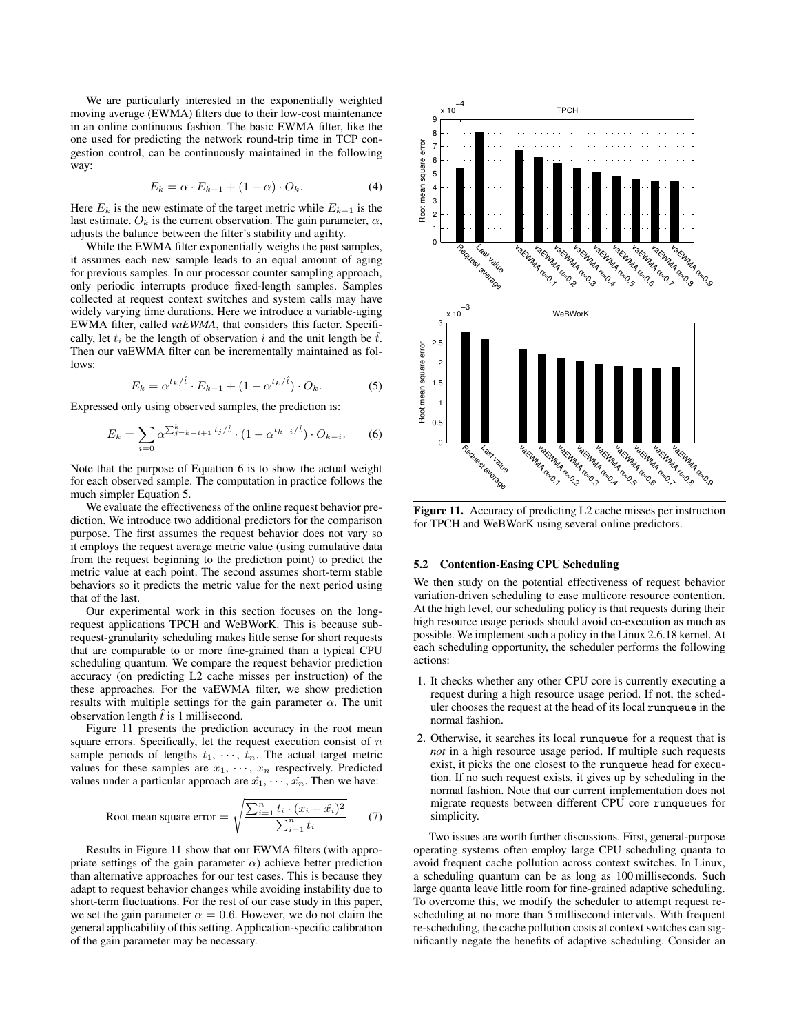We are particularly interested in the exponentially weighted moving average (EWMA) filters due to their low-cost maintenance in an online continuous fashion. The basic EWMA filter, like the one used for predicting the network round-trip time in TCP congestion control, can be continuously maintained in the following way:

$$
E_k = \alpha \cdot E_{k-1} + (1 - \alpha) \cdot O_k. \tag{4}
$$

Here  $E_k$  is the new estimate of the target metric while  $E_{k-1}$  is the last estimate.  $O_k$  is the current observation. The gain parameter,  $\alpha$ , adjusts the balance between the filter's stability and agility.

While the EWMA filter exponentially weighs the past samples, it assumes each new sample leads to an equal amount of aging for previous samples. In our processor counter sampling approach, only periodic interrupts produce fixed-length samples. Samples collected at request context switches and system calls may have widely varying time durations. Here we introduce a variable-aging EWMA filter, called *vaEWMA*, that considers this factor. Specifically, let  $t_i$  be the length of observation i and the unit length be  $\hat{t}$ . Then our vaEWMA filter can be incrementally maintained as follows:

$$
E_k = \alpha^{t_k/\hat{t}} \cdot E_{k-1} + (1 - \alpha^{t_k/\hat{t}}) \cdot O_k. \tag{5}
$$

Expressed only using observed samples, the prediction is:

$$
E_k = \sum_{i=0} \alpha^{\sum_{j=k-i+1}^k t_j/\hat{t}} \cdot (1 - \alpha^{t_{k-i}/\hat{t}}) \cdot O_{k-i}.
$$
 (6)

Note that the purpose of Equation 6 is to show the actual weight for each observed sample. The computation in practice follows the much simpler Equation 5.

We evaluate the effectiveness of the online request behavior prediction. We introduce two additional predictors for the comparison purpose. The first assumes the request behavior does not vary so it employs the request average metric value (using cumulative data from the request beginning to the prediction point) to predict the metric value at each point. The second assumes short-term stable behaviors so it predicts the metric value for the next period using that of the last.

Our experimental work in this section focuses on the longrequest applications TPCH and WeBWorK. This is because subrequest-granularity scheduling makes little sense for short requests that are comparable to or more fine-grained than a typical CPU scheduling quantum. We compare the request behavior prediction accuracy (on predicting L2 cache misses per instruction) of the these approaches. For the vaEWMA filter, we show prediction results with multiple settings for the gain parameter  $\alpha$ . The unit observation length  $\hat{t}$  is 1 millisecond.

Figure 11 presents the prediction accuracy in the root mean square errors. Specifically, let the request execution consist of  $n$ sample periods of lengths  $t_1, \dots, t_n$ . The actual target metric values for these samples are  $x_1, \dots, x_n$  respectively. Predicted values under a particular approach are  $\hat{x_1}, \dots, \hat{x_n}$ . Then we have:

Root mean square error = 
$$
\sqrt{\frac{\sum_{i=1}^{n} t_i \cdot (x_i - \hat{x}_i)^2}{\sum_{i=1}^{n} t_i}}
$$
 (7)

Results in Figure 11 show that our EWMA filters (with appropriate settings of the gain parameter  $\alpha$ ) achieve better prediction than alternative approaches for our test cases. This is because they adapt to request behavior changes while avoiding instability due to short-term fluctuations. For the rest of our case study in this paper, we set the gain parameter  $\alpha = 0.6$ . However, we do not claim the general applicability of this setting. Application-specific calibration of the gain parameter may be necessary.



**Figure 11.** Accuracy of predicting L2 cache misses per instruction for TPCH and WeBWorK using several online predictors.

#### **5.2 Contention-Easing CPU Scheduling**

We then study on the potential effectiveness of request behavior variation-driven scheduling to ease multicore resource contention. At the high level, our scheduling policy is that requests during their high resource usage periods should avoid co-execution as much as possible. We implement such a policy in the Linux 2.6.18 kernel. At each scheduling opportunity, the scheduler performs the following actions:

- 1. It checks whether any other CPU core is currently executing a request during a high resource usage period. If not, the scheduler chooses the request at the head of its local runqueue in the normal fashion.
- 2. Otherwise, it searches its local runqueue for a request that is *not* in a high resource usage period. If multiple such requests exist, it picks the one closest to the runqueue head for execution. If no such request exists, it gives up by scheduling in the normal fashion. Note that our current implementation does not migrate requests between different CPU core runqueues for simplicity.

Two issues are worth further discussions. First, general-purpose operating systems often employ large CPU scheduling quanta to avoid frequent cache pollution across context switches. In Linux, a scheduling quantum can be as long as 100 milliseconds. Such large quanta leave little room for fine-grained adaptive scheduling. To overcome this, we modify the scheduler to attempt request rescheduling at no more than 5 millisecond intervals. With frequent re-scheduling, the cache pollution costs at context switches can significantly negate the benefits of adaptive scheduling. Consider an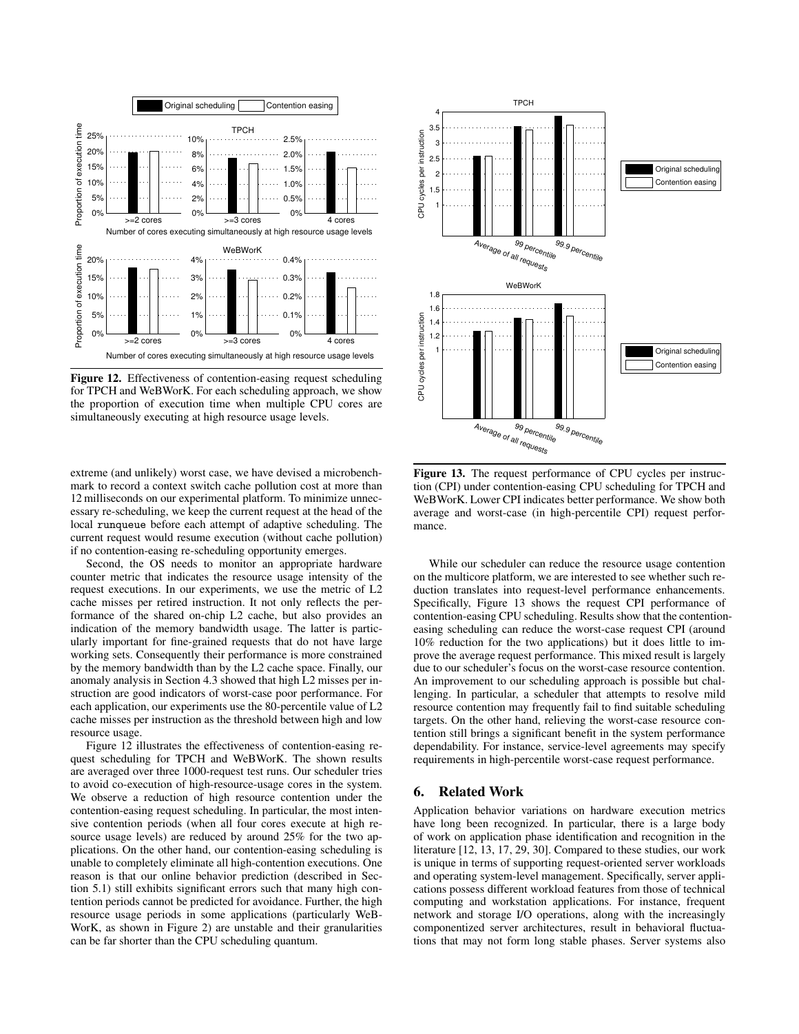

**Figure 12.** Effectiveness of contention-easing request scheduling for TPCH and WeBWorK. For each scheduling approach, we show the proportion of execution time when multiple CPU cores are simultaneously executing at high resource usage levels.

extreme (and unlikely) worst case, we have devised a microbenchmark to record a context switch cache pollution cost at more than 12 milliseconds on our experimental platform. To minimize unnecessary re-scheduling, we keep the current request at the head of the local runqueue before each attempt of adaptive scheduling. The current request would resume execution (without cache pollution) if no contention-easing re-scheduling opportunity emerges.

Second, the OS needs to monitor an appropriate hardware counter metric that indicates the resource usage intensity of the request executions. In our experiments, we use the metric of L2 cache misses per retired instruction. It not only reflects the performance of the shared on-chip L2 cache, but also provides an indication of the memory bandwidth usage. The latter is particularly important for fine-grained requests that do not have large working sets. Consequently their performance is more constrained by the memory bandwidth than by the L2 cache space. Finally, our anomaly analysis in Section 4.3 showed that high L2 misses per instruction are good indicators of worst-case poor performance. For each application, our experiments use the 80-percentile value of L2 cache misses per instruction as the threshold between high and low resource usage.

Figure 12 illustrates the effectiveness of contention-easing request scheduling for TPCH and WeBWorK. The shown results are averaged over three 1000-request test runs. Our scheduler tries to avoid co-execution of high-resource-usage cores in the system. We observe a reduction of high resource contention under the contention-easing request scheduling. In particular, the most intensive contention periods (when all four cores execute at high resource usage levels) are reduced by around 25% for the two applications. On the other hand, our contention-easing scheduling is unable to completely eliminate all high-contention executions. One reason is that our online behavior prediction (described in Section 5.1) still exhibits significant errors such that many high contention periods cannot be predicted for avoidance. Further, the high resource usage periods in some applications (particularly WeB-WorK, as shown in Figure 2) are unstable and their granularities can be far shorter than the CPU scheduling quantum.



**Figure 13.** The request performance of CPU cycles per instruction (CPI) under contention-easing CPU scheduling for TPCH and WeBWorK. Lower CPI indicates better performance. We show both average and worst-case (in high-percentile CPI) request performance.

While our scheduler can reduce the resource usage contention on the multicore platform, we are interested to see whether such reduction translates into request-level performance enhancements. Specifically, Figure 13 shows the request CPI performance of contention-easing CPU scheduling. Results show that the contentioneasing scheduling can reduce the worst-case request CPI (around 10% reduction for the two applications) but it does little to improve the average request performance. This mixed result is largely due to our scheduler's focus on the worst-case resource contention. An improvement to our scheduling approach is possible but challenging. In particular, a scheduler that attempts to resolve mild resource contention may frequently fail to find suitable scheduling targets. On the other hand, relieving the worst-case resource contention still brings a significant benefit in the system performance dependability. For instance, service-level agreements may specify requirements in high-percentile worst-case request performance.

### **6. Related Work**

Application behavior variations on hardware execution metrics have long been recognized. In particular, there is a large body of work on application phase identification and recognition in the literature [12, 13, 17, 29, 30]. Compared to these studies, our work is unique in terms of supporting request-oriented server workloads and operating system-level management. Specifically, server applications possess different workload features from those of technical computing and workstation applications. For instance, frequent network and storage I/O operations, along with the increasingly componentized server architectures, result in behavioral fluctuations that may not form long stable phases. Server systems also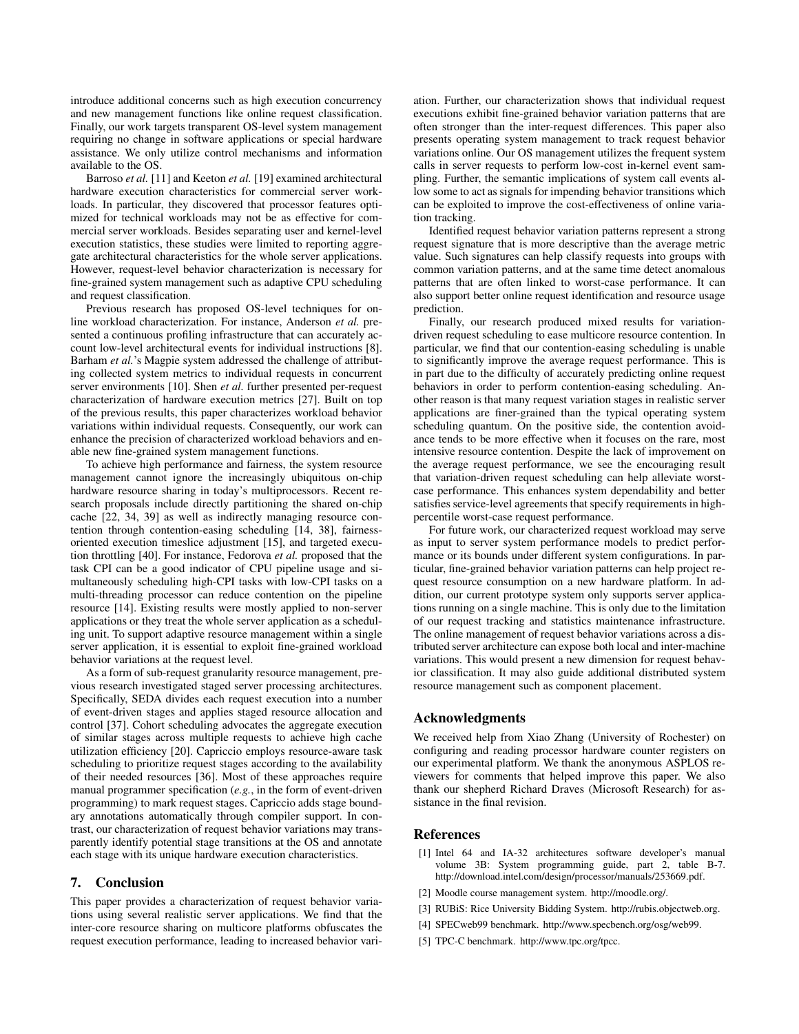introduce additional concerns such as high execution concurrency and new management functions like online request classification. Finally, our work targets transparent OS-level system management requiring no change in software applications or special hardware assistance. We only utilize control mechanisms and information available to the OS.

Barroso *et al.* [11] and Keeton *et al.* [19] examined architectural hardware execution characteristics for commercial server workloads. In particular, they discovered that processor features optimized for technical workloads may not be as effective for commercial server workloads. Besides separating user and kernel-level execution statistics, these studies were limited to reporting aggregate architectural characteristics for the whole server applications. However, request-level behavior characterization is necessary for fine-grained system management such as adaptive CPU scheduling and request classification.

Previous research has proposed OS-level techniques for online workload characterization. For instance, Anderson *et al.* presented a continuous profiling infrastructure that can accurately account low-level architectural events for individual instructions [8]. Barham *et al.*'s Magpie system addressed the challenge of attributing collected system metrics to individual requests in concurrent server environments [10]. Shen *et al.* further presented per-request characterization of hardware execution metrics [27]. Built on top of the previous results, this paper characterizes workload behavior variations within individual requests. Consequently, our work can enhance the precision of characterized workload behaviors and enable new fine-grained system management functions.

To achieve high performance and fairness, the system resource management cannot ignore the increasingly ubiquitous on-chip hardware resource sharing in today's multiprocessors. Recent research proposals include directly partitioning the shared on-chip cache [22, 34, 39] as well as indirectly managing resource contention through contention-easing scheduling [14, 38], fairnessoriented execution timeslice adjustment [15], and targeted execution throttling [40]. For instance, Fedorova *et al.* proposed that the task CPI can be a good indicator of CPU pipeline usage and simultaneously scheduling high-CPI tasks with low-CPI tasks on a multi-threading processor can reduce contention on the pipeline resource [14]. Existing results were mostly applied to non-server applications or they treat the whole server application as a scheduling unit. To support adaptive resource management within a single server application, it is essential to exploit fine-grained workload behavior variations at the request level.

As a form of sub-request granularity resource management, previous research investigated staged server processing architectures. Specifically, SEDA divides each request execution into a number of event-driven stages and applies staged resource allocation and control [37]. Cohort scheduling advocates the aggregate execution of similar stages across multiple requests to achieve high cache utilization efficiency [20]. Capriccio employs resource-aware task scheduling to prioritize request stages according to the availability of their needed resources [36]. Most of these approaches require manual programmer specification (*e.g.*, in the form of event-driven programming) to mark request stages. Capriccio adds stage boundary annotations automatically through compiler support. In contrast, our characterization of request behavior variations may transparently identify potential stage transitions at the OS and annotate each stage with its unique hardware execution characteristics.

# **7. Conclusion**

This paper provides a characterization of request behavior variations using several realistic server applications. We find that the inter-core resource sharing on multicore platforms obfuscates the request execution performance, leading to increased behavior variation. Further, our characterization shows that individual request executions exhibit fine-grained behavior variation patterns that are often stronger than the inter-request differences. This paper also presents operating system management to track request behavior variations online. Our OS management utilizes the frequent system calls in server requests to perform low-cost in-kernel event sampling. Further, the semantic implications of system call events allow some to act as signals for impending behavior transitions which can be exploited to improve the cost-effectiveness of online variation tracking.

Identified request behavior variation patterns represent a strong request signature that is more descriptive than the average metric value. Such signatures can help classify requests into groups with common variation patterns, and at the same time detect anomalous patterns that are often linked to worst-case performance. It can also support better online request identification and resource usage prediction.

Finally, our research produced mixed results for variationdriven request scheduling to ease multicore resource contention. In particular, we find that our contention-easing scheduling is unable to significantly improve the average request performance. This is in part due to the difficulty of accurately predicting online request behaviors in order to perform contention-easing scheduling. Another reason is that many request variation stages in realistic server applications are finer-grained than the typical operating system scheduling quantum. On the positive side, the contention avoidance tends to be more effective when it focuses on the rare, most intensive resource contention. Despite the lack of improvement on the average request performance, we see the encouraging result that variation-driven request scheduling can help alleviate worstcase performance. This enhances system dependability and better satisfies service-level agreements that specify requirements in highpercentile worst-case request performance.

For future work, our characterized request workload may serve as input to server system performance models to predict performance or its bounds under different system configurations. In particular, fine-grained behavior variation patterns can help project request resource consumption on a new hardware platform. In addition, our current prototype system only supports server applications running on a single machine. This is only due to the limitation of our request tracking and statistics maintenance infrastructure. The online management of request behavior variations across a distributed server architecture can expose both local and inter-machine variations. This would present a new dimension for request behavior classification. It may also guide additional distributed system resource management such as component placement.

### **Acknowledgments**

We received help from Xiao Zhang (University of Rochester) on configuring and reading processor hardware counter registers on our experimental platform. We thank the anonymous ASPLOS reviewers for comments that helped improve this paper. We also thank our shepherd Richard Draves (Microsoft Research) for assistance in the final revision.

# **References**

- [1] Intel 64 and IA-32 architectures software developer's manual volume 3B: System programming guide, part 2, table B-7. http://download.intel.com/design/processor/manuals/253669.pdf.
- [2] Moodle course management system. http://moodle.org/.
- [3] RUBiS: Rice University Bidding System. http://rubis.objectweb.org.
- [4] SPECweb99 benchmark. http://www.specbench.org/osg/web99.
- [5] TPC-C benchmark. http://www.tpc.org/tpcc.